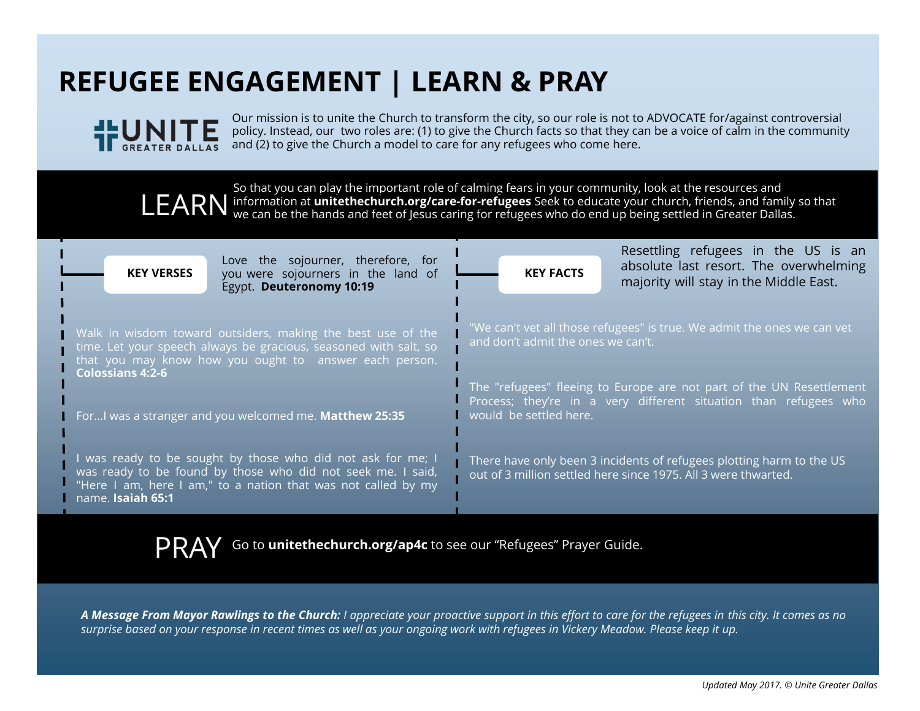## **REFUGEE ENGAGEMENT | LEARN & PRAY**



Our mission is to unite the Church to transform the city, so our role is not to ADVOCATE for/against controversial policy. Instead, our two roles are: (1) to give the Church facts so that they can be a voice of calm in the community and (2) to give the Church a model to care for any refugees who come here.

So that you can play the important role of calming fears in your community, look at the resources and information at **<unitethechurch.org/care-for-refugees>** Seek to educate your church, friends, and family so that LEARN information at unitethechurch.org/care-for-refugees Seek to educate your church, friends, and family we can be the hands and feet of Jesus caring for refugees who do end up being settled in Greater Dallas.

| Love the sojourner, therefore, for<br><b>KEY VERSES</b><br>you were sojourners in the land of<br>Egypt. Deuteronomy 10:19                                                                                        | Resettling refugees in the US is an<br>absolute last resort. The overwhelming<br><b>KEY FACTS</b><br>majority will stay in the Middle East.                        |
|------------------------------------------------------------------------------------------------------------------------------------------------------------------------------------------------------------------|--------------------------------------------------------------------------------------------------------------------------------------------------------------------|
| Walk in wisdom toward outsiders, making the best use of the<br>time. Let your speech always be gracious, seasoned with salt, so<br>that you may know how you ought to answer each person.                        | "We can't vet all those refugees" is true. We admit the ones we can vet<br>and don't admit the ones we can't.                                                      |
| <b>Colossians 4:2-6</b><br>For I was a stranger and you welcomed me. Matthew 25:35                                                                                                                               | The "refugees" fleeing to Europe are not part of the UN Resettlement<br>Process; they're in a very different situation than refugees who<br>would be settled here. |
| I was ready to be sought by those who did not ask for me; I<br>was ready to be found by those who did not seek me. I said,<br>"Here I am, here I am," to a nation that was not called by my<br>name. Isaiah 65:1 | There have only been 3 incidents of refugees plotting harm to the US<br>out of 3 million settled here since 1975. All 3 were thwarted.                             |

PRAY Go to **[unitethechurch.org/ap4c](http://www.unitethechurch.org/ap4c)** to see our "Refugees" Prayer Guide.

*A Message From Mayor Rawlings to the Church: I appreciate your proactive support in this effort to care for the refugees in this city. It comes as no surprise based on your response in recent times as well as your ongoing work with refugees in Vickery Meadow. Please keep it up.*